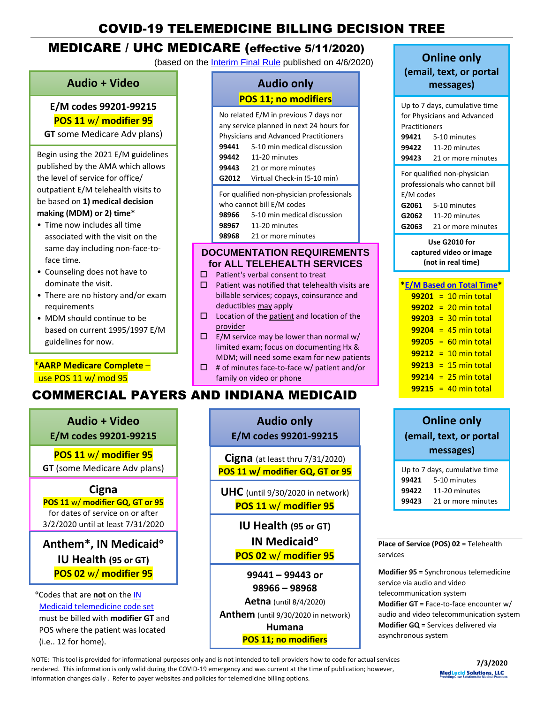# COVID-19 TELEMEDICINE BILLING DECISION TREE

# MEDICARE / UHC MEDICARE (effective 5/11/2020)

(based on the [Interim Final Rule](https://www.federalregister.gov/documents/2020/04/06/2020-06990/medicare-and-medicaid-programs-policy-and-regulatory-revisions-in-response-to-the-covid-19-public) published on 4/6/2020)

## **Audio + Video**

### **E/M codes 99201-99215 POS 11** w/ **modifier 95**

**GT** some Medicare Adv plans)

Begin using the 2021 E/M guidelines published by the AMA which allows the level of service for office/ outpatient E/M telehealth visits to be based on **1) medical decision making (MDM) or 2) time\***

- Time now includes all time associated with the visit on the same day including non-face-toface time.
- Counseling does not have to dominate the visit.
- There are no history and/or exam requirements
- MDM should continue to be based on current 1995/1997 E/M guidelines for now.

## \***AARP Medicare Complete** – use POS 11 w/ mod 95

# COMMERCIAL PAYERS AND INDIANA MEDICAID

0 **Audio + Video E/M codes 99201-99215**

**POS 11** w/ **modifier 95 GT** (some Medicare Adv plans)

### **Cigna**

**POS 11** w/ **modifier GQ, GT or 95** for dates of service on or after 3/2/2020 until at least 7/31/2020

**Anthem\*, IN Medicaid IU Health (95 or GT) POS 02** w/ **modifier 95**

Codes that are **not** on the [IN](http://provider.indianamedicaid.com/ihcp/Publications/providerCodes/Telemedicine_Services_Codes.pdf)  [Medicaid telemedicine code set](http://provider.indianamedicaid.com/ihcp/Publications/providerCodes/Telemedicine_Services_Codes.pdf) must be billed with **modifier GT** and POS where the patient was located (i.e.. 12 for home).

|  | <b>Audio only</b>           |
|--|-----------------------------|
|  | <b>POS 11; no modifiers</b> |

| No related E/M in previous 7 days nor<br>any service planned in next 24 hours for<br><b>Physicians and Advanced Practitioners</b> |                             |  |
|-----------------------------------------------------------------------------------------------------------------------------------|-----------------------------|--|
| 99441                                                                                                                             | 5-10 min medical discussion |  |
| 99442                                                                                                                             | 11-20 minutes               |  |
| 99443                                                                                                                             | 21 or more minutes          |  |
| G2012                                                                                                                             | Virtual Check-in (5-10 min) |  |
| For qualified non-physician professionals<br>who cannot bill E/M codes<br>5-10 min medical discussion<br>98966                    |                             |  |

**98967** 11-20 minutes

**98968** 21 or more minutes

### **DOCUMENTATION REQUIREMENTS for ALL TELEHEALTH SERVICES**

- $\square$  Patient's verbal consent to treat
- $\square$  Patient was notified that telehealth visits are billable services; copays, coinsurance and deductibles may apply
- $\square$  Location of the patient and location of the provider
- $\square$  E/M service may be lower than normal w/ limited exam; focus on documenting Hx & MDM; will need some exam for new patients
- $\Box$  # of minutes face-to-face w/ patient and/or family on video or phone

| e. |   |
|----|---|
| ٠  | п |

**E/M codes 99201-99215**

**Cigna** (at least thru 7/31/2020) **POS 11 w/ modifier GQ, GT or 95**

**UHC** (until 9/30/2020 in network) **POS 11** w/ **modifier 95**

> **IU Health (95 or GT) IN Medicaid POS 02** w/ **modifier 95**

**99441 – 99443 or 98966 – 98968 Aetna** (until 8/4/2020) **Anthem** (until 9/30/2020 in network) **Humana**

**POS 11; no modifiers**

# **Online only**

**(email, text, or portal messages)**

| Up to 7 days, cumulative time                                |                             |  |  |
|--------------------------------------------------------------|-----------------------------|--|--|
|                                                              | for Physicians and Advanced |  |  |
|                                                              | Practitioners               |  |  |
| 99421                                                        | 5-10 minutes                |  |  |
|                                                              | 99422 11-20 minutes         |  |  |
|                                                              | 99423 21 or more minutes    |  |  |
| For qualified non-physician<br>professionals who cannot bill |                             |  |  |
| E/M codes                                                    |                             |  |  |
|                                                              |                             |  |  |
|                                                              | <b>G2061</b> 5-10 minutes   |  |  |
|                                                              | <b>G2062</b> 11-20 minutes  |  |  |

**Use G2010 for captured video or image (not in real time)**

| <b>E/M Based on Total Time</b> |
|--------------------------------|
| $99201 = 10$ min total         |
| $99202 = 20$ min total         |
| $99203 = 30$ min total         |
| $99204 = 45$ min total         |
| $99205 = 60$ min total         |
| $99212 = 10$ min total         |
| $99213 = 15$ min total         |
| $99214 = 25$ min total         |
| $99215 = 40$ min total         |
|                                |

# **Online only (email, text, or portal messages)**

| Up to 7 days, cumulative time |                    |  |
|-------------------------------|--------------------|--|
| 99421                         | 5-10 minutes       |  |
| 99422                         | 11-20 minutes      |  |
| 99423                         | 21 or more minutes |  |

**Place of Service (POS) 02** = Telehealth services

**Modifier 95** = Synchronous telemedicine service via audio and video telecommunication system **Modifier GT** = Face-to-face encounter w/ audio and video telecommunication system **Modifier GQ** = Services delivered via asynchronous system

NOTE: This tool is provided for informational purposes only and is not intended to tell providers how to code for actual services rendered. This information is only valid during the COVID-19 emergency and was current at the time of publication; however, information changes daily . Refer to payer websites and policies for telemedicine billing options.

**7/3/2020 MedLucid Solutions, LLC**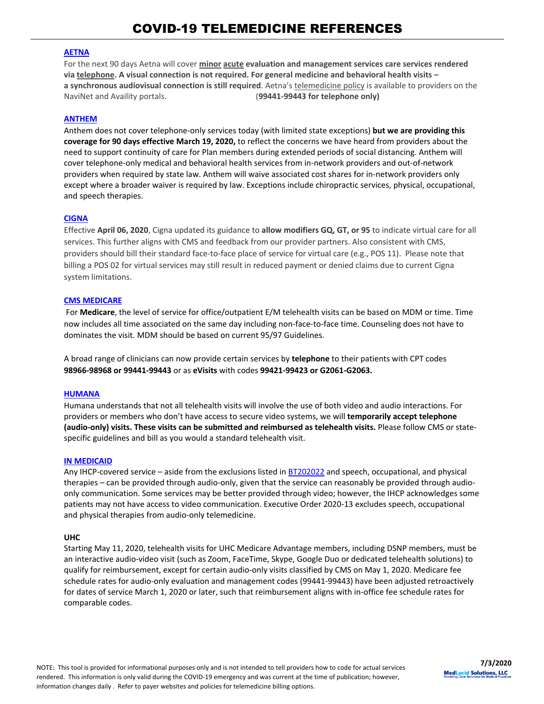#### **[AETNA](https://www.aetna.com/health-care-professionals/provider-education-manuals/covid-faq.html#acc_link_content_section_responsivegrid_copy__responsivegrid_accordion_12)**

For the next 90 days Aetna will cover **minor acute evaluation and management services care services rendered via telephone. A visual connection is not required. For general medicine and behavioral health visits – a synchronous audiovisual connection is still required**. Aetna's telemedicine policy is available to providers on the NaviNet and Availity portals. (**99441-99443 for telephone only)**

#### **[ANTHEM](https://providernews.anthem.com/georgia/article/information-from-anthem-for-care-providers-about-covid-19-4)**

Anthem does not cover telephone-only services today (with limited state exceptions) **but we are providing this coverage for 90 days effective March 19, 2020,** to reflect the concerns we have heard from providers about the need to support continuity of care for Plan members during extended periods of social distancing. Anthem will cover telephone-only medical and behavioral health services from in-network providers and out-of-network providers when required by state law. Anthem will waive associated cost shares for in-network providers only except where a broader waiver is required by law. Exceptions include chiropractic services, physical, occupational, and speech therapies.

#### **[CIGNA](https://static.cigna.com/assets/chcp/resourceLibrary/medicalResourcesList/medicalDoingBusinessWithCigna/medicalDbwcCOVID-19.html)**

Effective **April 06, 2020**, Cigna updated its guidance to **allow modifiers GQ, GT, or 95** to indicate virtual care for all services. This further aligns with CMS and feedback from our provider partners. Also consistent with CMS, providers should bill their standard face-to-face place of service for virtual care (e.g., POS 11). Please note that billing a POS 02 for virtual services may still result in reduced payment or denied claims due to current Cigna system limitations.

#### **[CMS MEDICARE](https://www.cms.gov/files/document/covid-19-physicians-and-practitioners.pdf)**

For **Medicare**, the level of service for office/outpatient E/M telehealth visits can be based on MDM or time. Time now includes all time associated on the same day including non-face-to-face time. Counseling does not have to dominates the visit. MDM should be based on current 95/97 Guidelines.

A broad range of clinicians can now provide certain services by **telephone** to their patients with CPT codes **98966-98968 or 99441-99443** or as **eVisits** with codes **99421-99423 or G2061-G2063.**

#### **[HUMANA](https://www.humana.com/provider/coronavirus/telemedicine)**

Humana understands that not all telehealth visits will involve the use of both video and audio interactions. For providers or members who don't have access to secure video systems, we will **temporarily accept telephone (audio-only) visits. These visits can be submitted and reimbursed as telehealth visits.** Please follow CMS or statespecific guidelines and bill as you would a standard telehealth visit.

#### **[IN MEDICAID](http://provider.indianamedicaid.com/ihcp/Bulletins/BT202034.pdf)**

Any IHCP-covered service – aside from the exclusions listed i[n BT202022](http://provider.indianamedicaid.com/ihcp/Bulletins/BT202022.pdf) and speech, occupational, and physical therapies – can be provided through audio-only, given that the service can reasonably be provided through audioonly communication. Some services may be better provided through video; however, the IHCP acknowledges some patients may not have access to video communication. Executive Order 2020-13 excludes speech, occupational and physical therapies from audio-only telemedicine.

#### **[UHC](https://www.uhcprovider.com/en/resource-library/news/Novel-Coronavirus-COVID-19/covid19-telehealth-services/covid19-telehealth-services-telehealth.html)**

Starting May 11, 2020, telehealth visits for UHC Medicare Advantage members, including DSNP members, must be an interactive audio-video visit (such as Zoom, FaceTime, Skype, Google Duo or dedicated telehealth solutions) to qualify for reimbursement, except for certain audio-only visits classified by [CMS](https://click.provideremail.uhc.com/?qs=236dc56a6900c270fe7d54c7c901d6a470c3d4a3ef183d7eb86068edf657893c1a531bb332f6488e740b30001e63a7307f6d82a42c483a7d) on May 1, 2020. Medicare fee schedule rates for audio-only [evaluation and management codes](https://click.provideremail.uhc.com/?qs=236dc56a6900c270ee25d14c61d1a4f1aab0518079be7ceb1fb50d0bdb71e1010a7a3c0134808f3ad624f3b280e3a5b6b0e23b4b8788b01b) (99441-99443) have been adjusted retroactively for dates of service March 1, 2020 or later, such that reimbursement aligns with in-office fee schedule rates for comparable codes.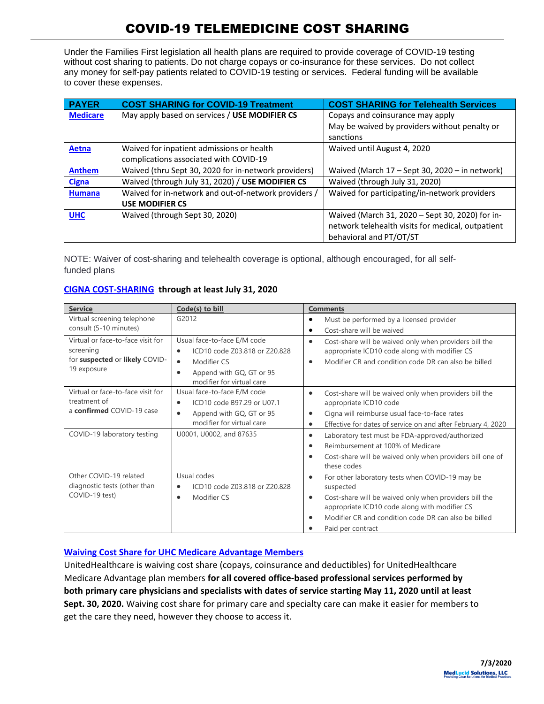Under the Families First legislation all health plans are required to provide coverage of COVID-19 testing without cost sharing to patients. Do not charge copays or co-insurance for these services. Do not collect any money for self-pay patients related to COVID-19 testing or services. Federal funding will be available to cover these expenses.

| <b>PAYER</b>    | <b>COST SHARING for COVID-19 Treatment</b>           | <b>COST SHARING for Telehealth Services</b>       |
|-----------------|------------------------------------------------------|---------------------------------------------------|
| <b>Medicare</b> | May apply based on services / USE MODIFIER CS        | Copays and coinsurance may apply                  |
|                 |                                                      | May be waived by providers without penalty or     |
|                 |                                                      | sanctions                                         |
| Aetna           | Waived for inpatient admissions or health            | Waived until August 4, 2020                       |
|                 | complications associated with COVID-19               |                                                   |
| <b>Anthem</b>   | Waived (thru Sept 30, 2020 for in-network providers) | Waived (March 17 - Sept 30, 2020 - in network)    |
| <b>Cigna</b>    | Waived (through July 31, 2020) / USE MODIFIER CS     | Waived (through July 31, 2020)                    |
| <b>Humana</b>   | Waived for in-network and out-of-network providers / | Waived for participating/in-network providers     |
|                 | <b>USE MODIFIER CS</b>                               |                                                   |
| <b>UHC</b>      | Waived (through Sept 30, 2020)                       | Waived (March 31, 2020 - Sept 30, 2020) for in-   |
|                 |                                                      | network telehealth visits for medical, outpatient |
|                 |                                                      | behavioral and PT/OT/ST                           |

NOTE: Waiver of cost-sharing and telehealth coverage is optional, although encouraged, for all selffunded plans

| <b>Service</b>                                                                                                | Code(s) to bill                                                                                                                                                             | <b>Comments</b>                                                                                                                                                                                                                                                                             |
|---------------------------------------------------------------------------------------------------------------|-----------------------------------------------------------------------------------------------------------------------------------------------------------------------------|---------------------------------------------------------------------------------------------------------------------------------------------------------------------------------------------------------------------------------------------------------------------------------------------|
| Virtual screening telephone<br>consult (5-10 minutes)                                                         | G2012                                                                                                                                                                       | Must be performed by a licensed provider<br>٠<br>Cost-share will be waived                                                                                                                                                                                                                  |
| Virtual or face-to-face visit for<br>screening<br>for suspected or likely COVID-<br>19 exposure               | Usual face-to-face E/M code<br>ICD10 code Z03.818 or Z20.828<br>$\bullet$<br>Modifier CS<br>$\bullet$<br>Append with GQ, GT or 95<br>$\bullet$<br>modifier for virtual care | Cost-share will be waived only when providers bill the<br>$\bullet$<br>appropriate ICD10 code along with modifier CS<br>Modifier CR and condition code DR can also be billed<br>$\bullet$                                                                                                   |
| Virtual or face-to-face visit for<br>treatment of<br>a confirmed COVID-19 case<br>COVID-19 laboratory testing | Usual face-to-face E/M code<br>ICD10 code B97.29 or U07.1<br>$\bullet$<br>Append with GQ, GT or 95<br>$\bullet$<br>modifier for virtual care<br>U0001, U0002, and 87635     | Cost-share will be waived only when providers bill the<br>$\bullet$<br>appropriate ICD10 code<br>Cigna will reimburse usual face-to-face rates<br>Effective for dates of service on and after February 4, 2020<br>$\bullet$<br>Laboratory test must be FDA-approved/authorized<br>$\bullet$ |
|                                                                                                               |                                                                                                                                                                             | Reimbursement at 100% of Medicare<br>Cost-share will be waived only when providers bill one of<br>these codes                                                                                                                                                                               |
| Other COVID-19 related<br>diagnostic tests (other than<br>COVID-19 test)                                      | Usual codes<br>ICD10 code Z03.818 or Z20.828<br>$\bullet$<br>Modifier CS<br>$\bullet$                                                                                       | For other laboratory tests when COVID-19 may be<br>$\bullet$<br>suspected<br>Cost-share will be waived only when providers bill the<br>$\bullet$<br>appropriate ICD10 code along with modifier CS<br>Modifier CR and condition code DR can also be billed<br>Paid per contract              |

### **[CIGNA COST-SHARING](https://static.cigna.com/assets/chcp/resourceLibrary/medicalResourcesList/medicalDoingBusinessWithCigna/medicalDbwcCOVID-19.html) through at least July 31, 2020**

### **[Waiving Cost Share for UHC Medicare Advantage Members](https://www.uhcprovider.com/en/resource-library/news/Novel-Coronavirus-COVID-19/pa-covid19-updates.html?cid=em-providernews-covid-19nationalemail5-may20)**

UnitedHealthcare is waiving cost share (copays, coinsurance and deductibles) for UnitedHealthcare Medicare Advantage plan members **for all covered office-based professional services performed by both primary care physicians and specialists with dates of service starting May 11, 2020 until at least Sept. 30, 2020.** Waiving cost share for primary care and specialty care can make it easier for members to get the care they need, however they choose to access it.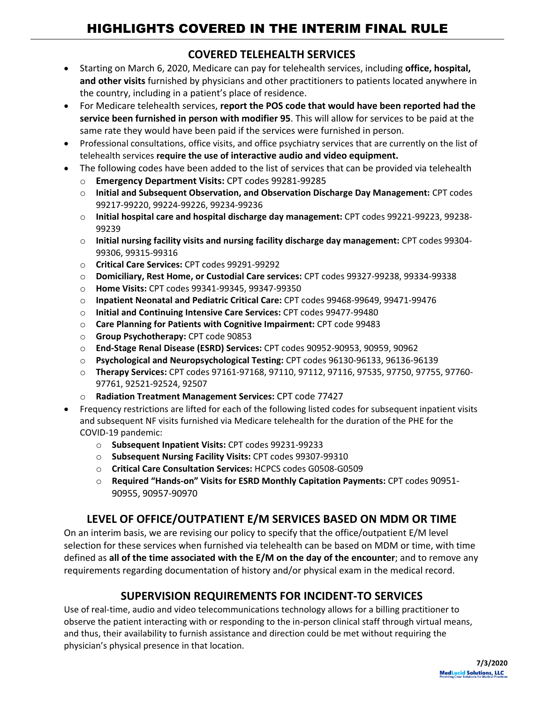## **COVERED TELEHEALTH SERVICES**

- Starting on March 6, 2020, Medicare can pay for telehealth services, including **office, hospital, and other visits** furnished by physicians and other practitioners to patients located anywhere in the country, including in a patient's place of residence.
- For Medicare telehealth services, **report the POS code that would have been reported had the service been furnished in person with modifier 95**. This will allow for services to be paid at the same rate they would have been paid if the services were furnished in person.
- Professional consultations, office visits, and office psychiatry services that are currently on the list of telehealth services **require the use of interactive audio and video equipment.**
- The following codes have been added to the list of services that can be provided via telehealth
	- o **Emergency Department Visits:** CPT codes 99281-99285
	- o **Initial and Subsequent Observation, and Observation Discharge Day Management:** CPT codes 99217-99220, 99224-99226, 99234-99236
	- o **Initial hospital care and hospital discharge day management:** CPT codes 99221-99223, 99238- 99239
	- o **Initial nursing facility visits and nursing facility discharge day management:** CPT codes 99304- 99306, 99315-99316
	- o **Critical Care Services:** CPT codes 99291-99292
	- o **Domiciliary, Rest Home, or Custodial Care services:** CPT codes 99327-99238, 99334-99338
	- o **Home Visits:** CPT codes 99341-99345, 99347-99350
	- o **Inpatient Neonatal and Pediatric Critical Care:** CPT codes 99468-99649, 99471-99476
	- o **Initial and Continuing Intensive Care Services:** CPT codes 99477-99480
	- o **Care Planning for Patients with Cognitive Impairment:** CPT code 99483
	- o **Group Psychotherapy:** CPT code 90853
	- o **End-Stage Renal Disease (ESRD) Services:** CPT codes 90952-90953, 90959, 90962
	- o **Psychological and Neuropsychological Testing:** CPT codes 96130-96133, 96136-96139
	- o **Therapy Services:** CPT codes 97161-97168, 97110, 97112, 97116, 97535, 97750, 97755, 97760- 97761, 92521-92524, 92507
	- o **Radiation Treatment Management Services:** CPT code 77427
- Frequency restrictions are lifted for each of the following listed codes for subsequent inpatient visits and subsequent NF visits furnished via Medicare telehealth for the duration of the PHE for the COVID-19 pandemic:
	- o **Subsequent Inpatient Visits:** CPT codes 99231-99233
	- o **Subsequent Nursing Facility Visits:** CPT codes 99307-99310
	- o **Critical Care Consultation Services:** HCPCS codes G0508-G0509
	- o **Required "Hands-on" Visits for ESRD Monthly Capitation Payments:** CPT codes 90951- 90955, 90957-90970

# **LEVEL OF OFFICE/OUTPATIENT E/M SERVICES BASED ON MDM OR TIME**

On an interim basis, we are revising our policy to specify that the office/outpatient E/M level selection for these services when furnished via telehealth can be based on MDM or time, with time defined as **all of the time associated with the E/M on the day of the encounter**; and to remove any requirements regarding documentation of history and/or physical exam in the medical record.

# **SUPERVISION REQUIREMENTS FOR INCIDENT-TO SERVICES**

Use of real-time, audio and video telecommunications technology allows for a billing practitioner to observe the patient interacting with or responding to the in-person clinical staff through virtual means, and thus, their availability to furnish assistance and direction could be met without requiring the physician's physical presence in that location.